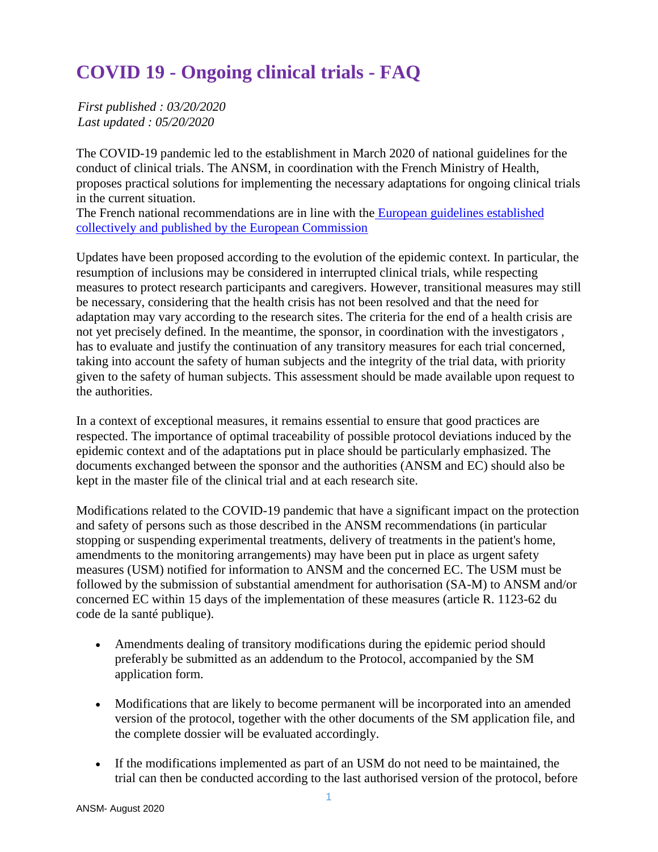# **COVID 19 - Ongoing clinical trials - FAQ**

*First published : 03/20/2020 Last updated : 05/20/2020*

The COVID-19 pandemic led to the establishment in March 2020 of national guidelines for the conduct of clinical trials. The ANSM, in coordination with the French Ministry of Health, proposes practical solutions for implementing the necessary adaptations for ongoing clinical trials in the current situation.

The French national recommendations are in line with the European guidelines established [collectively and published by the European Commission](https://ec.europa.eu/health/sites/health/files/files/eudralex/vol-10/guidanceclinicaltrials_covid19_en.pdf)

Updates have been proposed according to the evolution of the epidemic context. In particular, the resumption of inclusions may be considered in interrupted clinical trials, while respecting measures to protect research participants and caregivers. However, transitional measures may still be necessary, considering that the health crisis has not been resolved and that the need for adaptation may vary according to the research sites. The criteria for the end of a health crisis are not yet precisely defined. In the meantime, the sponsor, in coordination with the investigators , has to evaluate and justify the continuation of any transitory measures for each trial concerned, taking into account the safety of human subjects and the integrity of the trial data, with priority given to the safety of human subjects. This assessment should be made available upon request to the authorities.

In a context of exceptional measures, it remains essential to ensure that good practices are respected. The importance of optimal traceability of possible protocol deviations induced by the epidemic context and of the adaptations put in place should be particularly emphasized. The documents exchanged between the sponsor and the authorities (ANSM and EC) should also be kept in the master file of the clinical trial and at each research site.

Modifications related to the COVID-19 pandemic that have a significant impact on the protection and safety of persons such as those described in the ANSM recommendations (in particular stopping or suspending experimental treatments, delivery of treatments in the patient's home, amendments to the monitoring arrangements) may have been put in place as urgent safety measures (USM) notified for information to ANSM and the concerned EC. The USM must be followed by the submission of substantial amendment for authorisation (SA-M) to ANSM and/or concerned EC within 15 days of the implementation of these measures (article R. 1123-62 du code de la santé publique).

- Amendments dealing of transitory modifications during the epidemic period should preferably be submitted as an addendum to the Protocol, accompanied by the SM application form.
- Modifications that are likely to become permanent will be incorporated into an amended version of the protocol, together with the other documents of the SM application file, and the complete dossier will be evaluated accordingly.
- If the modifications implemented as part of an USM do not need to be maintained, the trial can then be conducted according to the last authorised version of the protocol, before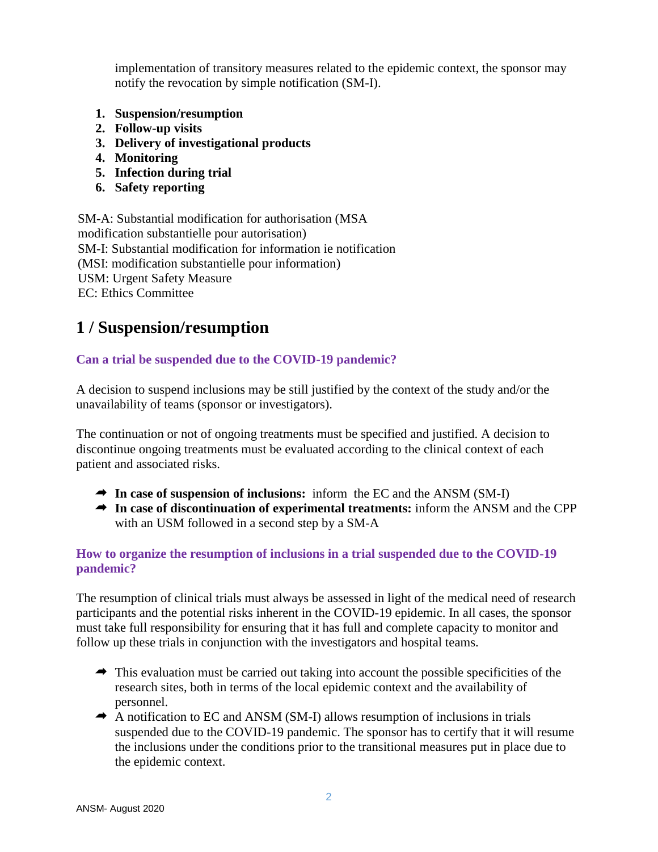implementation of transitory measures related to the epidemic context, the sponsor may notify the revocation by simple notification (SM-I).

- **1. Suspension/resumption**
- **2. Follow-up visits**
- **3. Delivery of investigational products**
- **4. Monitoring**
- **5. Infection during trial**
- **6. Safety reporting**

SM-A: Substantial modification for authorisation (MSA modification substantielle pour autorisation) SM-I: Substantial modification for information ie notification (MSI: modification substantielle pour information) USM: Urgent Safety Measure EC: Ethics Committee

# **1 / Suspension/resumption**

#### **Can a trial be suspended due to the COVID-19 pandemic?**

A decision to suspend inclusions may be still justified by the context of the study and/or the unavailability of teams (sponsor or investigators).

The continuation or not of ongoing treatments must be specified and justified. A decision to discontinue ongoing treatments must be evaluated according to the clinical context of each patient and associated risks.

- **In case of suspension of inclusions:** inform the EC and the ANSM (SM-I)
- **In case of discontinuation of experimental treatments:** inform the ANSM and the CPP with an USM followed in a second step by a SM-A

#### **How to organize the resumption of inclusions in a trial suspended due to the COVID-19 pandemic?**

The resumption of clinical trials must always be assessed in light of the medical need of research participants and the potential risks inherent in the COVID-19 epidemic. In all cases, the sponsor must take full responsibility for ensuring that it has full and complete capacity to monitor and follow up these trials in conjunction with the investigators and hospital teams.

- $\rightarrow$  This evaluation must be carried out taking into account the possible specificities of the research sites, both in terms of the local epidemic context and the availability of personnel.
- $\rightarrow$  A notification to EC and ANSM (SM-I) allows resumption of inclusions in trials suspended due to the COVID-19 pandemic. The sponsor has to certify that it will resume the inclusions under the conditions prior to the transitional measures put in place due to the epidemic context.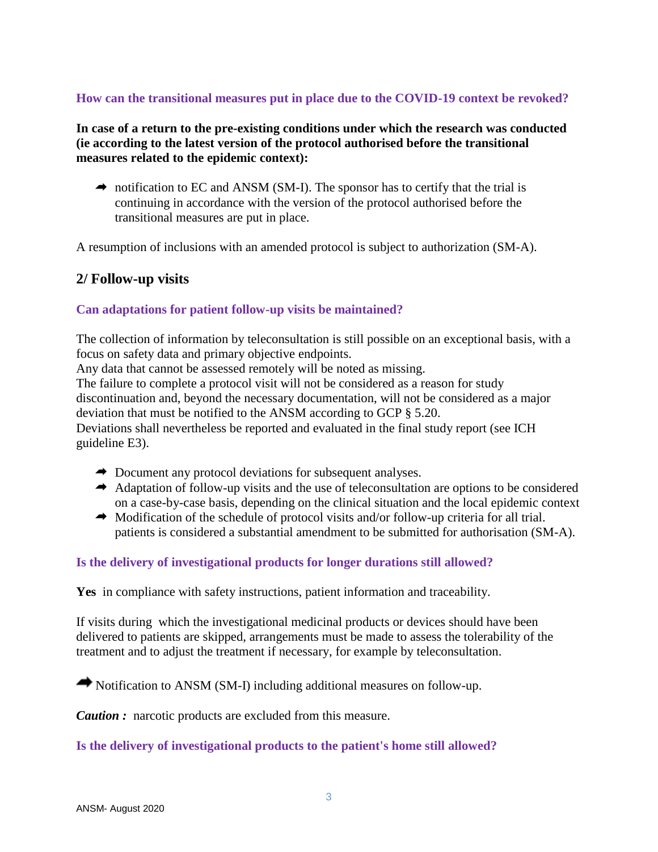#### **How can the transitional measures put in place due to the COVID-19 context be revoked?**

**In case of a return to the pre-existing conditions under which the research was conducted (ie according to the latest version of the protocol authorised before the transitional measures related to the epidemic context):**

 $\rightarrow$  notification to EC and ANSM (SM-I). The sponsor has to certify that the trial is continuing in accordance with the version of the protocol authorised before the transitional measures are put in place.

A resumption of inclusions with an amended protocol is subject to authorization (SM-A).

#### **2/ Follow-up visits**

#### **Can adaptations for patient follow-up visits be maintained?**

The collection of information by teleconsultation is still possible on an exceptional basis, with a focus on safety data and primary objective endpoints.

Any data that cannot be assessed remotely will be noted as missing.

The failure to complete a protocol visit will not be considered as a reason for study discontinuation and, beyond the necessary documentation, will not be considered as a major deviation that must be notified to the ANSM according to GCP § 5.20. Deviations shall nevertheless be reported and evaluated in the final study report (see ICH guideline E3).

- ◆ Document any protocol deviations for subsequent analyses.
- Adaptation of follow-up visits and the use of teleconsultation are options to be considered on a case-by-case basis, depending on the clinical situation and the local epidemic context
- $\rightarrow$  Modification of the schedule of protocol visits and/or follow-up criteria for all trial. patients is considered a substantial amendment to be submitted for authorisation (SM-A).

#### **Is the delivery of investigational products for longer durations still allowed?**

**Yes** in compliance with safety instructions, patient information and traceability.

If visits during which the investigational medicinal products or devices should have been delivered to patients are skipped, arrangements must be made to assess the tolerability of the treatment and to adjust the treatment if necessary, for example by teleconsultation.

Notification to ANSM (SM-I) including additional measures on follow-up.

*Caution :* narcotic products are excluded from this measure.

**Is the delivery of investigational products to the patient's home still allowed?**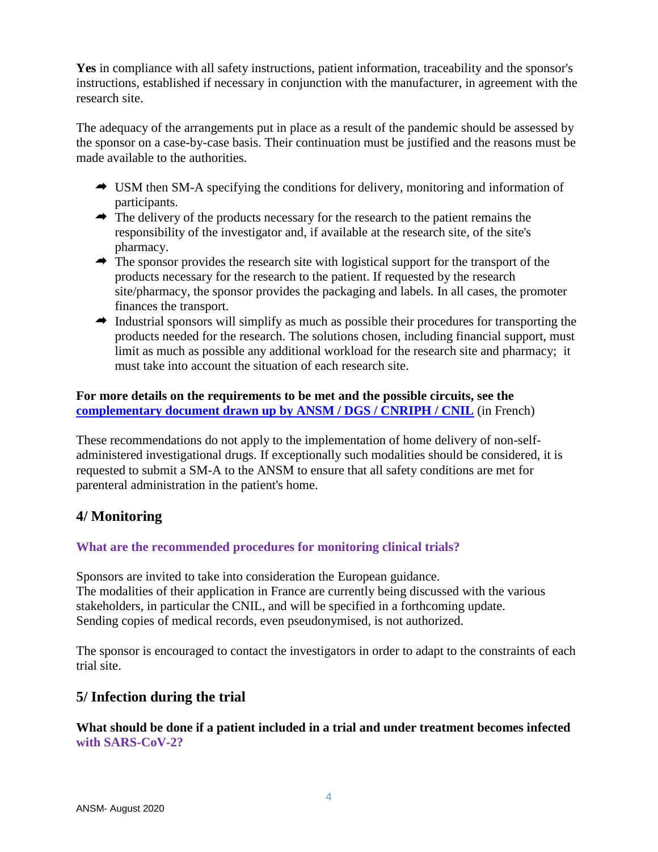**Yes** in compliance with all safety instructions, patient information, traceability and the sponsor's instructions, established if necessary in conjunction with the manufacturer, in agreement with the research site.

The adequacy of the arrangements put in place as a result of the pandemic should be assessed by the sponsor on a case-by-case basis. Their continuation must be justified and the reasons must be made available to the authorities.

- USM then SM-A specifying the conditions for delivery, monitoring and information of participants.
- $\rightarrow$  The delivery of the products necessary for the research to the patient remains the responsibility of the investigator and, if available at the research site, of the site's pharmacy.
- $\rightarrow$  The sponsor provides the research site with logistical support for the transport of the products necessary for the research to the patient. If requested by the research site/pharmacy, the sponsor provides the packaging and labels. In all cases, the promoter finances the transport.
- $\rightarrow$  Industrial sponsors will simplify as much as possible their procedures for transporting the products needed for the research. The solutions chosen, including financial support, must limit as much as possible any additional workload for the research site and pharmacy; it must take into account the situation of each research site.

#### **For more details on the requirements to be met and the possible circuits, see the <u>[complementary document drawn up by ANSM / DGS / CNRIPH / CNIL](https://www.ansm.sante.fr/Activites/Essais-cliniques/COVID-19-Essais-cliniques-en-cours/COVID-19-Essais-cliniques-en-cours-Quel-est-le-circuit-preconise-en-cas-de-delivrance-a-domicile)</u> (in French)**

These recommendations do not apply to the implementation of home delivery of non-selfadministered investigational drugs. If exceptionally such modalities should be considered, it is requested to submit a SM-A to the ANSM to ensure that all safety conditions are met for parenteral administration in the patient's home.

# **4/ Monitoring**

#### **What are the recommended procedures for monitoring clinical trials?**

Sponsors are invited to take into consideration the European guidance. The modalities of their application in France are currently being discussed with the various stakeholders, in particular the CNIL, and will be specified in a forthcoming update. Sending copies of medical records, even pseudonymised, is not authorized.

The sponsor is encouraged to contact the investigators in order to adapt to the constraints of each trial site.

# **5/ Infection during the trial**

#### **What should be done if a patient included in a trial and under treatment becomes infected with SARS-CoV-2?**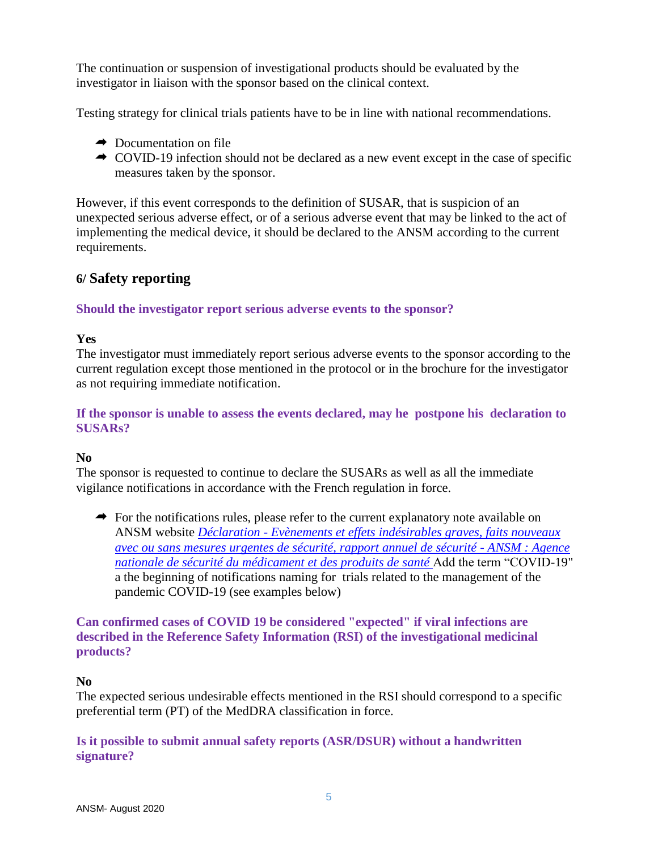The continuation or suspension of investigational products should be evaluated by the investigator in liaison with the sponsor based on the clinical context.

Testing strategy for clinical trials patients have to be in line with national recommendations.

- $\rightarrow$  Documentation on file
- COVID-19 infection should not be declared as a new event except in the case of specific measures taken by the sponsor.

However, if this event corresponds to the definition of SUSAR, that is suspicion of an unexpected serious adverse effect, or of a serious adverse event that may be linked to the act of implementing the medical device, it should be declared to the ANSM according to the current requirements.

# **6/ Safety reporting**

#### **Should the investigator report serious adverse events to the sponsor?**

#### **Yes**

The investigator must immediately report serious adverse events to the sponsor according to the current regulation except those mentioned in the protocol or in the brochure for the investigator as not requiring immediate notification.

#### **If the sponsor is unable to assess the events declared, may he postpone his declaration to SUSARs?**

#### **No**

The sponsor is requested to continue to declare the SUSARs as well as all the immediate vigilance notifications in accordance with the French regulation in force.

 $\rightarrow$  For the notifications rules, please refer to the current explanatory note available on ANSM website *Déclaration - [Evènements et effets indésirables graves, faits nouveaux](https://www.ansm.sante.fr/Activites/Medicaments-et-produits-biologiques/Declaration-Evenements-et-effets-indesirables-graves-faits-nouveaux-avec-ou-sans-mesures-urgentes-de-securite-rapport-annuel-de-securite)  [avec ou sans mesures urgentes de sécurité, rapport annuel de sécurité -](https://www.ansm.sante.fr/Activites/Medicaments-et-produits-biologiques/Declaration-Evenements-et-effets-indesirables-graves-faits-nouveaux-avec-ou-sans-mesures-urgentes-de-securite-rapport-annuel-de-securite) ANSM : Agence [nationale de sécurité du médicament et des produits de santé](https://www.ansm.sante.fr/Activites/Medicaments-et-produits-biologiques/Declaration-Evenements-et-effets-indesirables-graves-faits-nouveaux-avec-ou-sans-mesures-urgentes-de-securite-rapport-annuel-de-securite)* Add the term "COVID-19" a the beginning of notifications naming for trials related to the management of the pandemic COVID-19 (see examples below)

#### **Can confirmed cases of COVID 19 be considered "expected" if viral infections are described in the Reference Safety Information (RSI) of the investigational medicinal products?**

#### **No**

The expected serious undesirable effects mentioned in the RSI should correspond to a specific preferential term (PT) of the MedDRA classification in force.

#### **Is it possible to submit annual safety reports (ASR/DSUR) without a handwritten signature?**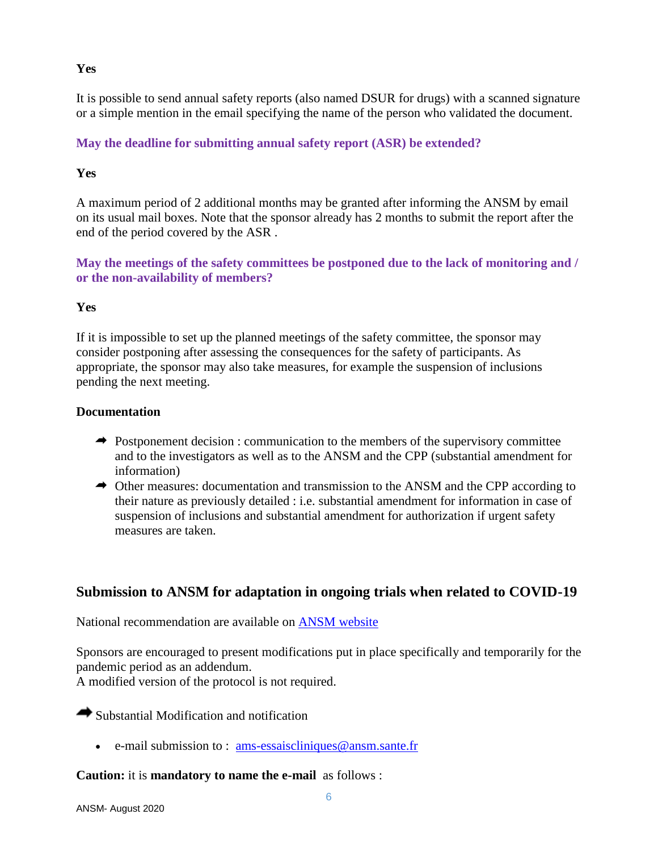#### **Yes**

It is possible to send annual safety reports (also named DSUR for drugs) with a scanned signature or a simple mention in the email specifying the name of the person who validated the document.

### **May the deadline for submitting annual safety report (ASR) be extended?**

#### **Yes**

A maximum period of 2 additional months may be granted after informing the ANSM by email on its usual mail boxes. Note that the sponsor already has 2 months to submit the report after the end of the period covered by the ASR .

**May the meetings of the safety committees be postponed due to the lack of monitoring and / or the non-availability of members?**

#### **Yes**

If it is impossible to set up the planned meetings of the safety committee, the sponsor may consider postponing after assessing the consequences for the safety of participants. As appropriate, the sponsor may also take measures, for example the suspension of inclusions pending the next meeting.

#### **Documentation**

- $\rightarrow$  Postponement decision : communication to the members of the supervisory committee and to the investigators as well as to the ANSM and the CPP (substantial amendment for information)
- Other measures: documentation and transmission to the ANSM and the CPP according to their nature as previously detailed : i.e. substantial amendment for information in case of suspension of inclusions and substantial amendment for authorization if urgent safety measures are taken.

# **Submission to ANSM for adaptation in ongoing trials when related to COVID-19**

National recommendation are available on [ANSM website](https://www.ansm.sante.fr/Activites/Medicaments-et-produits-biologiques/Avis-aux-promoteurs-Formulaires/%28offset%29/6)

Sponsors are encouraged to present modifications put in place specifically and temporarily for the pandemic period as an addendum.

A modified version of the protocol is not required.

 $\rightarrow$  Substantial Modification and notification

e-mail submission to : [ams-essaiscliniques@ansm.sante.fr](mailto:ams-essaiscliniques@ansm.sante.fr)

#### **Caution:** it is **mandatory to name the e-mail** as follows :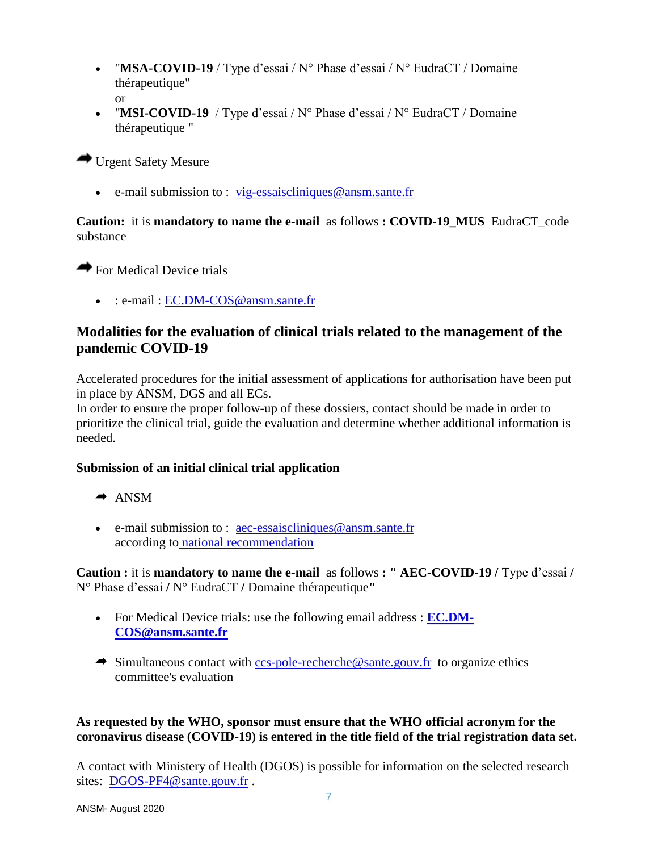- "MSA-COVID-19 / Type d'essai / N° Phase d'essai / N° EudraCT / Domaine thérapeutique" or
- "MSI-COVID-19 / Type d'essai / N° Phase d'essai / N° EudraCT / Domaine thérapeutique "

Urgent Safety Mesure

e-mail submission to : [vig-essaiscliniques@ansm.sante.fr](mailto:vig-essaiscliniques@ansm.sante.fr)

#### **Caution:** it is **mandatory to name the e-mail** as follows **: COVID-19\_MUS** EudraCT\_code substance

For Medical Device trials

• : e-mail : EC.DM-COS @ ansm.sante.fr

# **Modalities for the evaluation of clinical trials related to the management of the pandemic COVID-19**

Accelerated procedures for the initial assessment of applications for authorisation have been put in place by ANSM, DGS and all ECs.

In order to ensure the proper follow-up of these dossiers, contact should be made in order to prioritize the clinical trial, guide the evaluation and determine whether additional information is needed.

#### **Submission of an initial clinical trial application**

- $\rightarrow$  ANSM
- e-mail submission to : [aec-essaiscliniques@ansm.sante.fr](mailto:aec-essaiscliniques@ansm.sante.fr) according to [national recommendation](https://www.ansm.sante.fr/Activites/Medicaments-et-produits-biologiques/Avis-aux-promoteurs-Formulaires/%28offset%29/5)

**Caution :** it is **mandatory to name the e-mail** as follows **: " AEC-COVID-19 /** Type d'essai **/**  N° Phase d'essai **/** N° EudraCT **/** Domaine thérapeutique**"**

- For Medical Device trials: use the following email address : **[EC.DM-](mailto:EC.DM-COS@ansm.sante.fr)[COS@ansm.sante.fr](mailto:EC.DM-COS@ansm.sante.fr)**
- $\rightarrow$  Simultaneous contact with [ccs-pole-recherche@sante.gouv.fr](mailto:ccs-pole-recherche@sante.gouv.fr) to organize ethics committee's evaluation

#### **As requested by the WHO, sponsor must ensure that the WHO official acronym for the coronavirus disease (COVID-19) is entered in the title field of the trial registration data set.**

A contact with Ministery of Health (DGOS) is possible for information on the selected research sites: [DGOS-PF4@sante.gouv.fr](mailto:DGOS-PF4@sante.gouv.fr) .